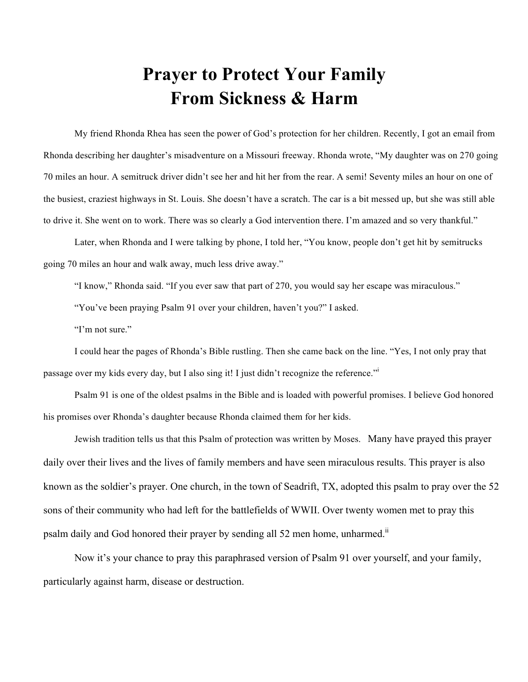## **Prayer to Protect Your Family From Sickness & Harm**

My friend Rhonda Rhea has seen the power of God's protection for her children. Recently, I got an email from Rhonda describing her daughter's misadventure on a Missouri freeway. Rhonda wrote, "My daughter was on 270 going 70 miles an hour. A semitruck driver didn't see her and hit her from the rear. A semi! Seventy miles an hour on one of the busiest, craziest highways in St. Louis. She doesn't have a scratch. The car is a bit messed up, but she was still able to drive it. She went on to work. There was so clearly a God intervention there. I'm amazed and so very thankful."

Later, when Rhonda and I were talking by phone, I told her, "You know, people don't get hit by semitrucks going 70 miles an hour and walk away, much less drive away."

"I know," Rhonda said. "If you ever saw that part of 270, you would say her escape was miraculous."

"You've been praying Psalm 91 over your children, haven't you?" I asked.

"I'm not sure."

I could hear the pages of Rhonda's Bible rustling. Then she came back on the line. "Yes, I not only pray that passage over my kids every day, but I also sing it! I just didn't recognize the reference."

Psalm 91 is one of the oldest psalms in the Bible and is loaded with powerful promises. I believe God honored his promises over Rhonda's daughter because Rhonda claimed them for her kids.

Jewish tradition tells us that this Psalm of protection was written by Moses. Many have prayed this prayer daily over their lives and the lives of family members and have seen miraculous results. This prayer is also known as the soldier's prayer. One church, in the town of Seadrift, TX, adopted this psalm to pray over the 52 sons of their community who had left for the battlefields of WWII. Over twenty women met to pray this psalm daily and God honored their prayer by sending all 52 men home, unharmed.<sup>ii</sup>

Now it's your chance to pray this paraphrased version of Psalm 91 over yourself, and your family, particularly against harm, disease or destruction.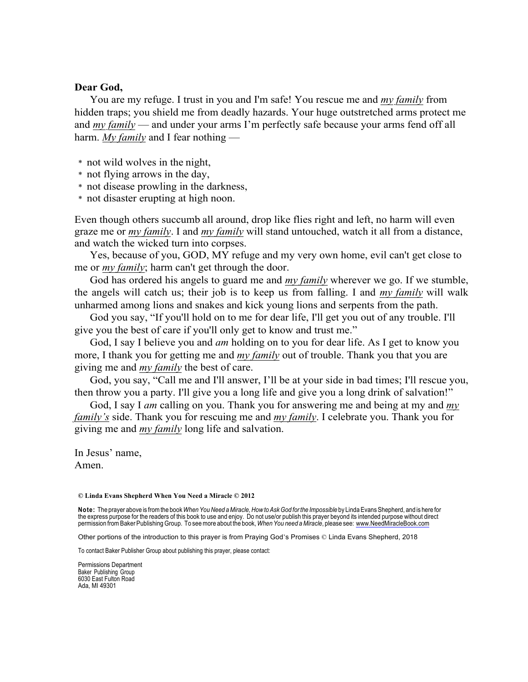## **Dear God,**

You are my refuge. I trust in you and I'm safe! You rescue me and *my family* from hidden traps; you shield me from deadly hazards. Your huge outstretched arms protect me and *my family* — and under your arms I'm perfectly safe because your arms fend off all harm. *My family* and I fear nothing —

- \* not wild wolves in the night,
- \* not flying arrows in the day,
- \* not disease prowling in the darkness,
- \* not disaster erupting at high noon.

Even though others succumb all around, drop like flies right and left, no harm will even graze me or *my family*. I and *my family* will stand untouched, watch it all from a distance, and watch the wicked turn into corpses.

Yes, because of you, GOD, MY refuge and my very own home, evil can't get close to me or *my family*; harm can't get through the door.

God has ordered his angels to guard me and *my family* wherever we go. If we stumble, the angels will catch us; their job is to keep us from falling. I and *my family* will walk unharmed among lions and snakes and kick young lions and serpents from the path.

God you say, "If you'll hold on to me for dear life, I'll get you out of any trouble. I'll give you the best of care if you'll only get to know and trust me."

God, I say I believe you and *am* holding on to you for dear life. As I get to know you more, I thank you for getting me and *my family* out of trouble. Thank you that you are giving me and *my family* the best of care.

God, you say, "Call me and I'll answer, I'll be at your side in bad times; I'll rescue you, then throw you a party. I'll give you a long life and give you a long drink of salvation!"

God, I say I *am* calling on you. Thank you for answering me and being at my and *my family's* side. Thank you for rescuing me and *my family*. I celebrate you. Thank you for giving me and *my family* long life and salvation.

**Note:** The prayer above is from the book *WhenYou Need a Miracle, How toAsk God forthe Impossible* by LindaEvansShepherd, and is here for the express purpose for the readers of this book to use and enjoy. Do not use/or publish this prayer beyond its intended purpose without direct<br>permission from Baker Publishing Group. To see more about the book, *When Yo* 

Other portions of the introduction to this prayer is from Praying God's Promises © Linda Evans Shepherd, 2018

To contact Baker Publisher Group about publishing this prayer, please contact:

Permissions Department Baker Publishing Group 6030 East Fulton Road Ada, MI 49301

In Jesus' name, Amen.

**<sup>©</sup> Linda Evans Shepherd When You Need a Miracle © 2012**